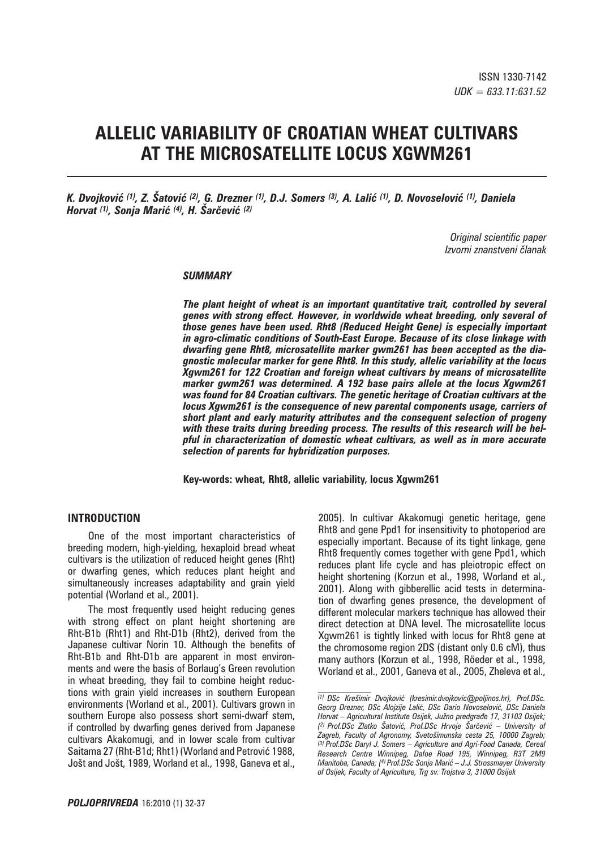# **ALLELIC VARIABILITY OF CROATIAN WHEAT CULTIVARS AT THE MICROSATELLITE LOCUS XGWM261**

*K. Dvojković (1), Z. Šatović (2), G. Drezner (1), D.J. Somers (3), A. Lalić (1), D. Novoselović (1), Daniela Horvat (1), Sonja Marić (4), H. Šarčević (2)*

> *Original scientific paper Izvorni znanstveni ~lanak*

#### *SUMMARY*

*The plant height of wheat is an important quantitative trait, controlled by several genes with strong effect. However, in worldwide wheat breeding, only several of those genes have been used. Rht8 (Reduced Height Gene) is especially important in agro-climatic conditions of South-East Europe. Because of its close linkage with dwarfing gene Rht8, microsatellite marker gwm261 has been accepted as the diagnostic molecular marker for gene Rht8. In this study, allelic variability at the locus Xgwm261 for 122 Croatian and foreign wheat cultivars by means of microsatellite marker gwm261 was determined. A 192 base pairs allele at the locus Xgwm261 was found for 84 Croatian cultivars. The genetic heritage of Croatian cultivars at the locus Xgwm261 is the consequence of new parental components usage, carriers of short plant and early maturity attributes and the consequent selection of progeny with these traits during breeding process. The results of this research will be helpful in characterization of domestic wheat cultivars, as well as in more accurate selection of parents for hybridization purposes.* 

**Key-words: wheat, Rht8, allelic variability, locus Xgwm261**

### **INTRODUCTION**

One of the most important characteristics of breeding modern, high-yielding, hexaploid bread wheat cultivars is the utilization of reduced height genes (Rht) or dwarfing genes, which reduces plant height and simultaneously increases adaptability and grain yield potential (Worland et al., 2001).

The most frequently used height reducing genes with strong effect on plant height shortening are Rht-B1b (Rht1) and Rht-D1b (Rht2), derived from the Japanese cultivar Norin 10. Although the benefits of Rht-B1b and Rht-D1b are apparent in most environments and were the basis of Borlaug's Green revolution in wheat breeding, they fail to combine height reductions with grain yield increases in southern European environments (Worland et al., 2001). Cultivars grown in southern Europe also possess short semi-dwarf stem, if controlled by dwarfing genes derived from Japanese cultivars Akakomugi, and in lower scale from cultivar Saitama 27 (Rht-B1d; Rht1) (Worland and Petrović 1988, Jošt and Jošt, 1989, Worland et al., 1998, Ganeva et al., 2005). In cultivar Akakomugi genetic heritage, gene Rht8 and gene Ppd1 for insensitivity to photoperiod are especially important. Because of its tight linkage, gene Rht8 frequently comes together with gene Ppd1, which reduces plant life cycle and has pleiotropic effect on height shortening (Korzun et al., 1998, Worland et al., 2001). Along with gibberellic acid tests in determination of dwarfing genes presence, the development of different molecular markers technique has allowed their direct detection at DNA level. The microsatellite locus Xgwm261 is tightly linked with locus for Rht8 gene at the chromosome region 2DS (distant only 0.6 cM), thus many authors (Korzun et al., 1998, Röeder et al., 1998, Worland et al., 2001, Ganeva et al., 2005, Zheleva et al.,

*<sup>(1)</sup> DSc Kre{imir Dvojkovi} (kresimir.dvojkovic*#*poljinos.hr), Prof.DSc.*  Georg Drezner, DSc Alojzije Lalić, DSc Dario Novoselović, DSc Daniela *Horvat – Agricultural Institute Osijek, Ju`no predgra|e 17, 31103 Osijek;*  <sup>(2)</sup> Prof.DSc Zlatko Šatović, Prof.DSc Hrvoje Šarčević – University of *Zagreb, Faculty of Agronomy, Sveto{imunska cesta 25, 10000 Zagreb; (3) Prof.DSc Daryl J. Somers – Agriculture and Agri-Food Canada, Cereal Research Centre Winnipeg, Dafoe Road 195, Winnipeg, R3T 2M9 Manitoba, Canada; (4) Prof.DSc Sonja Mari} – J.J. Strossmayer University of Osijek, Faculty of Agriculture, Trg sv. Trojstva 3, 31000 Osijek*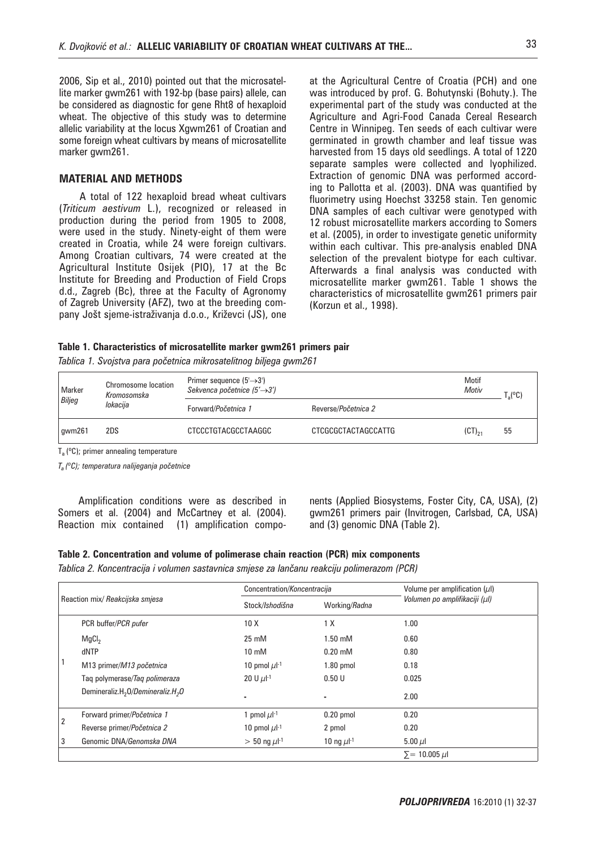2006, Sip et al., 2010) pointed out that the microsatellite marker gwm261 with 192-bp (base pairs) allele, can be considered as diagnostic for gene Rht8 of hexaploid wheat. The objective of this study was to determine allelic variability at the locus Xgwm261 of Croatian and some foreign wheat cultivars by means of microsatellite marker gwm261.

# **MATERIAL AND METHODS**

A total of 122 hexaploid bread wheat cultivars (*Triticum aestivum* L.), recognized or released in production during the period from 1905 to 2008, were used in the study. Ninety-eight of them were created in Croatia, while 24 were foreign cultivars. Among Croatian cultivars, 74 were created at the Agricultural Institute Osijek (PIO), 17 at the Bc Institute for Breeding and Production of Field Crops d.d., Zagreb (Bc), three at the Faculty of Agronomy of Zagreb University (AFZ), two at the breeding company Jošt sjeme-istraživanja d.o.o., Križevci (JS), one at the Agricultural Centre of Croatia (PCH) and one was introduced by prof. G. Bohutynski (Bohuty.). The experimental part of the study was conducted at the Agriculture and Agri-Food Canada Cereal Research Centre in Winnipeg. Ten seeds of each cultivar were germinated in growth chamber and leaf tissue was harvested from 15 days old seedlings. A total of 1220 separate samples were collected and lyophilized. Extraction of genomic DNA was performed according to Pallotta et al. (2003). DNA was quantified by fluorimetry using Hoechst 33258 stain. Ten genomic DNA samples of each cultivar were genotyped with 12 robust microsatellite markers according to Somers et al. (2005), in order to investigate genetic uniformity within each cultivar. This pre-analysis enabled DNA selection of the prevalent biotype for each cultivar. Afterwards a final analysis was conducted with microsatellite marker gwm261. Table 1 shows the characteristics of microsatellite gwm261 primers pair (Korzun et al., 1998).

#### **Table 1. Characteristics of microsatellite marker gwm261 primers pair**

Tablica 1. Svojstva para početnica mikrosatelitnog biljega gwm261

| Marker<br>Biljeg | Chromosome location<br>Kromosomska | Primer sequence $(5 \rightarrow 3')$<br>Sekvenca početnice $(5' \rightarrow 3')$ | Motif<br>Motiv      | $\mathsf{T}_\mathrm{a}$ (°C) |    |
|------------------|------------------------------------|----------------------------------------------------------------------------------|---------------------|------------------------------|----|
|                  | lokacija                           | Forward/Početnica 1                                                              | Reverse/Početnica 2 |                              |    |
| qwm261           | 2DS                                | CTCCCTGTACGCCTAAGGC                                                              | CTCGCGCTACTAGCCATTG | $(CT)_{21}$                  | 55 |

 $T_a$  (°C); primer annealing temperature

 $T_a$  (°C); temperatura nalijeganja početnice

Amplification conditions were as described in Somers et al. (2004) and McCartney et al. (2004). Reaction mix contained (1) amplification components (Applied Biosystems, Foster City, CA, USA), (2) gwm261 primers pair (Invitrogen, Carlsbad, CA, USA) and (3) genomic DNA (Table 2).

| Table 2. Concentration and volume of polimerase chain reaction (PCR) mix components        |  |  |  |
|--------------------------------------------------------------------------------------------|--|--|--|
| Tablica 2. Koncentracija i volumen sastavnica smjese za lančanu reakciju polimerazom (PCR) |  |  |  |

| Reaction mix/ Reakcijska smjesa |                                                           | Concentration/Koncentracija   |                            | Volume per amplification $(\mu I)$ |  |
|---------------------------------|-----------------------------------------------------------|-------------------------------|----------------------------|------------------------------------|--|
|                                 |                                                           | Stock/Ishodišna               | Working/Radna              | Volumen po amplifikaciji (µl)      |  |
|                                 | PCR buffer/PCR pufer                                      | 10X                           | 1 X                        | 1.00                               |  |
|                                 | MgCl <sub>2</sub>                                         | 25 mM                         | $1.50 \text{ }\mathrm{mM}$ | 0.60                               |  |
|                                 | dNTP                                                      | $10 \text{ mM}$               | $0.20$ mM                  | 0.80                               |  |
|                                 | M13 primer/M13 početnica                                  | 10 pmol $\mu$ I-1             | $1.80$ pmol                | 0.18                               |  |
|                                 | Tag polymerase/Tag polimeraza                             | 20 U $\mu$ -1                 | 0.50U                      | 0.025                              |  |
|                                 | Demineraliz.H <sub>2</sub> 0/Demineraliz.H <sub>2</sub> 0 | ۰                             | ۰                          | 2.00                               |  |
|                                 | Forward primer/Početnica 1                                | 1 pmol $\mu$ -1               | $0.20$ pmol                | 0.20                               |  |
| 2                               | Reverse primer/Početnica 2                                | 10 pmol $\mu$ l <sup>-1</sup> | 2 pmol                     | 0.20                               |  |
| 3                               | Genomic DNA/Genomska DNA                                  | $> 50$ ng $\mu$ -1            | 10 ng $\mu$ -1             | 5.00 $\mu$                         |  |
|                                 |                                                           |                               |                            | $\Sigma = 10.005 \mu l$            |  |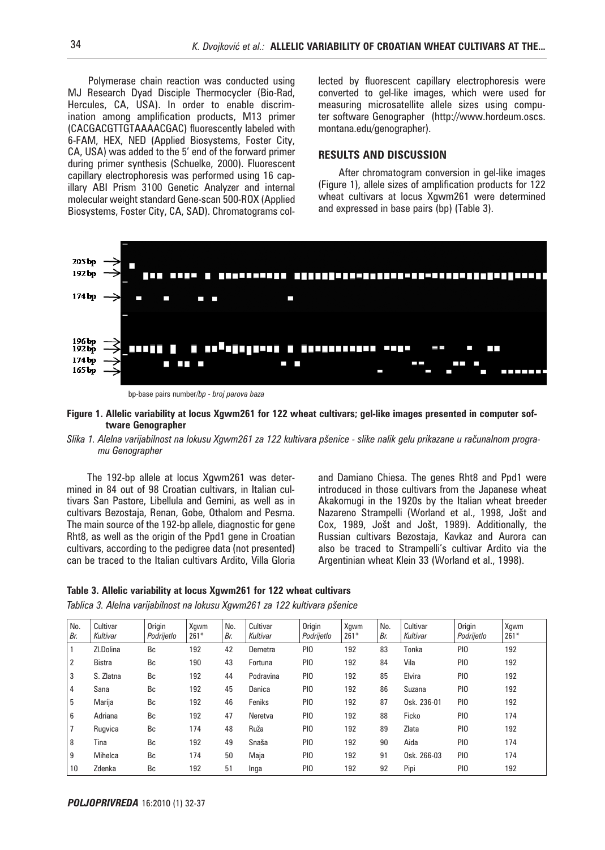Polymerase chain reaction was conducted using MJ Research Dyad Disciple Thermocycler (Bio-Rad, Hercules, CA, USA). In order to enable discrimination among amplification products, M13 primer (CACGACGTTGTAAAACGAC) fluorescently labeled with 6-FAM, HEX, NED (Applied Biosystems, Foster City, CA, USA) was added to the 5' end of the forward primer during primer synthesis (Schuelke, 2000). Fluorescent capillary electrophoresis was performed using 16 capillary ABI Prism 3100 Genetic Analyzer and internal molecular weight standard Gene-scan 500-ROX (Applied Biosystems, Foster City, CA, SAD). Chromatograms collected by fluorescent capillary electrophoresis were converted to gel-like images, which were used for measuring microsatellite allele sizes using computer software Genographer (http://www.hordeum.oscs. montana.edu/genographer).

## **RESULTS AND DISCUSSION**

After chromatogram conversion in gel-like images (Figure 1), allele sizes of amplification products for 122 wheat cultivars at locus Xgwm261 were determined and expressed in base pairs (bp) (Table 3).



bp-base pairs number*/bp - broj parova baza*

#### **Figure 1. Allelic variability at locus Xgwm261 for 122 wheat cultivars; gel-like images presented in computer software Genographer**

#### Slika 1. Alelna varijabilnost na lokusu Xgwm261 za 122 kultivara pšenice - slike nalik gelu prikazane u računalnom progra*mu Genographer*

The 192-bp allele at locus Xgwm261 was determined in 84 out of 98 Croatian cultivars, in Italian cultivars San Pastore, Libellula and Gemini, as well as in cultivars Bezostaja, Renan, Gobe, Othalom and Pesma. The main source of the 192-bp allele, diagnostic for gene Rht8, as well as the origin of the Ppd1 gene in Croatian cultivars, according to the pedigree data (not presented) can be traced to the Italian cultivars Ardito, Villa Gloria and Damiano Chiesa. The genes Rht8 and Ppd1 were introduced in those cultivars from the Japanese wheat Akakomugi in the 1920s by the Italian wheat breeder Nazareno Strampelli (Worland et al., 1998, Jošt and Cox, 1989, Jošt and Jošt, 1989). Additionally, the Russian cultivars Bezostaja, Kavkaz and Aurora can also be traced to Strampelli's cultivar Ardito via the Argentinian wheat Klein 33 (Worland et al., 1998).

#### **Table 3. Allelic variability at locus Xgwm261 for 122 wheat cultivars**

*Tablica 3. Alelna varijabilnost na lokusu Xgwm261 za 122 kultivara p{enice* 

| No.<br>Br. | Cultivar<br>Kultivar | Origin<br>Podrijetlo | Xqwm<br>$261*$ | No.<br>Br. | Cultivar<br>Kultivar | <b>Origin</b><br>Podrijetlo | Xqwm<br>$261*$ | No.<br>Br. | Cultivar<br>Kultivar | <b>Origin</b><br>Podrijetlo | Xqwm<br>$261*$ |
|------------|----------------------|----------------------|----------------|------------|----------------------|-----------------------------|----------------|------------|----------------------|-----------------------------|----------------|
|            | ZI.Dolina            | Bc                   | 192            | 42         | Demetra              | PI <sub>0</sub>             | 192            | 83         | Tonka                | PI <sub>0</sub>             | 192            |
| 2          | <b>Bistra</b>        | Bc                   | 190            | 43         | Fortuna              | PI <sub>0</sub>             | 192            | 84         | Vila                 | PI <sub>0</sub>             | 192            |
| 3          | S. Zlatna            | Bc                   | 192            | 44         | Podravina            | PI <sub>0</sub>             | 192            | 85         | Elvira               | PI <sub>0</sub>             | 192            |
| 4          | Sana                 | Bc                   | 192            | 45         | Danica               | PI <sub>0</sub>             | 192            | 86         | Suzana               | PI <sub>0</sub>             | 192            |
| 5          | Marija               | Bc                   | 192            | 46         | Feniks               | PI <sub>0</sub>             | 192            | 87         | Osk. 236-01          | PI <sub>0</sub>             | 192            |
| 6          | Adriana              | Bc                   | 192            | 47         | Neretva              | PI <sub>0</sub>             | 192            | 88         | Ficko                | PI <sub>0</sub>             | 174            |
| 7          | Rugvica              | Bc                   | 174            | 48         | Ruža                 | PI <sub>0</sub>             | 192            | 89         | Zlata                | PI <sub>0</sub>             | 192            |
| 8          | Tina                 | Bc                   | 192            | 49         | Snaša                | PI <sub>0</sub>             | 192            | 90         | Aida                 | PI <sub>0</sub>             | 174            |
| 9          | Mihelca              | Bc                   | 174            | 50         | Maja                 | PI <sub>0</sub>             | 192            | 91         | Osk. 266-03          | PI <sub>0</sub>             | 174            |
| 10         | Zdenka               | Bc                   | 192            | 51         | Inga                 | PI <sub>0</sub>             | 192            | 92         | Pipi                 | PI <sub>0</sub>             | 192            |

*POLJOPRIVREDA* 16:2010 (1) 32-37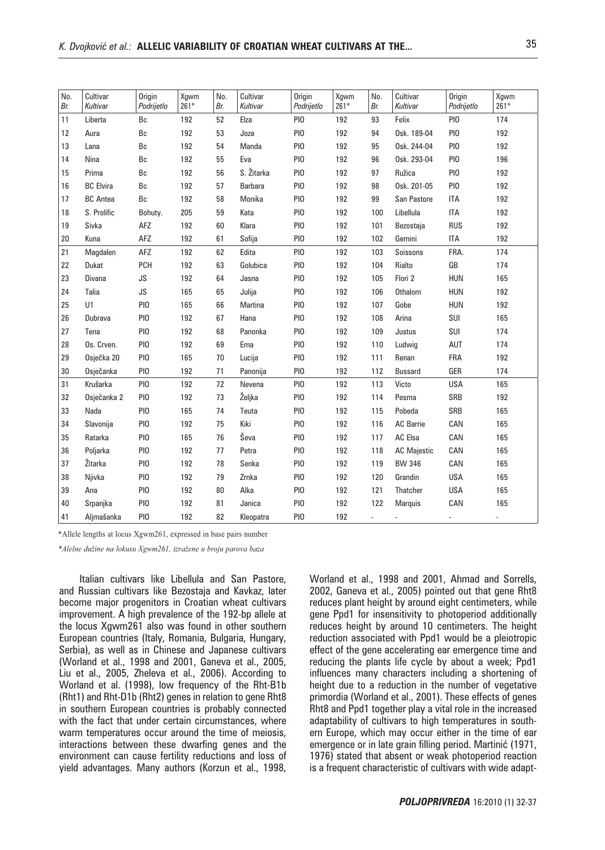| No.<br>Br. | Cultivar<br>Kultivar | Origin<br>Podrijetlo | Xgwm<br>$261*$ | No.<br>Br. | Cultivar<br>Kultivar | Origin<br>Podrijetlo | Xgwm<br>$261*$ | No.<br>Br.          | Cultivar<br>Kultivar        | Origin<br>Podrijetlo | Xgwm<br>$261*$ |
|------------|----------------------|----------------------|----------------|------------|----------------------|----------------------|----------------|---------------------|-----------------------------|----------------------|----------------|
| 11         | Liberta              | Bc                   | 192            | 52         | Elza                 | PIO                  | 192            | 93                  | Felix                       | PIO                  | 174            |
| 12         | Aura                 | Вc                   | 192            | 53         | Joza                 | PIO                  | 192            | 94                  | Osk. 189-04                 | PIO                  | 192            |
| 13         | Lana                 | Bc                   | 192            | 54         | Manda                | PI <sub>0</sub>      | 192            | 95                  | Osk. 244-04                 | PI <sub>0</sub>      | 192            |
| 14         | Nina                 | Вc                   | 192            | 55         | Eva                  | PIO                  | 192            | 96                  | Osk. 293-04                 | PI <sub>0</sub>      | 196            |
| 15         | Prima                | Bc                   | 192            | 56         | S. Žitarka           | PI <sub>0</sub>      | 192            | 97                  | Ružica                      | PI <sub>0</sub>      | 192            |
| 16         | <b>BC</b> Elvira     | Вc                   | 192            | 57         | Barbara              | PI <sub>0</sub>      | 192            | 98                  | Osk. 201-05                 | PIO                  | 192            |
| 17         | <b>BC</b> Antea      | Вc                   | 192            | 58         | Monika               | PI <sub>0</sub>      | 192            | 99                  | San Pastore                 | <b>ITA</b>           | 192            |
| 18         | S. Prolific          | Bohuty.              | 205            | 59         | Kata                 | PI <sub>0</sub>      | 192            | 100                 | Libellula                   | <b>ITA</b>           | 192            |
| 19         | Sivka                | AFZ                  | 192            | 60         | Klara                | PIO                  | 192            | 101                 | Bezostaja                   | <b>RUS</b>           | 192            |
| 20         | Kuna                 | AFZ                  | 192            | 61         | Sofija               | PI <sub>0</sub>      | 192            | 102                 | Gemini                      | <b>ITA</b>           | 192            |
| 21         | Magdalen             | AFZ                  | 192            | 62         | Edita                | PIO                  | 192            | 103                 | Soissons                    | FRA.                 | 174            |
| 22         | Dukat                | <b>PCH</b>           | 192            | 63         | Golubica             | PIO                  | 192            | 104                 | Rialto                      | ${\sf GB}$           | 174            |
| 23         | Divana               | JS                   | 192            | 64         | Jasna                | PIO                  | 192            | 105                 | Flori 2                     | <b>HUN</b>           | 165            |
| 24         | Talia                | JS                   | 165            | 65         | Julija               | PIO                  | 192            | 106                 | Othalom                     | <b>HUN</b>           | 192            |
| 25         | U1                   | PI <sub>0</sub>      | 165            | 66         | Martina              | PI <sub>0</sub>      | 192            | 107                 | Gobe                        | <b>HUN</b>           | 192            |
| 26         | Dubrava              | PI <sub>0</sub>      | 192            | 67         | Hana                 | PIO                  | 192            | 108                 | Arina                       | SUI                  | 165            |
| 27         | Tena                 | PI <sub>0</sub>      | 192            | 68         | Panonka              | PIO                  | 192            | 109                 | Justus                      | SUI                  | 174            |
| 28         | Os. Crven.           | PIO                  | 192            | 69         | Ema                  | PI <sub>0</sub>      | 192            | 110                 | Ludwig                      | AUT                  | 174            |
| 29         | Osječka 20           | PIO                  | 165            | 70         | Lucija               | PI <sub>0</sub>      | 192            | 111                 | Renan                       | FRA                  | 192            |
| 30         | Osječanka            | PIO                  | 192            | 71         | Panonija             | PI <sub>0</sub>      | 192            | 112                 | <b>Bussard</b>              | GER                  | 174            |
| 31         | Krušarka             | PIO                  | 192            | 72         | Nevena               | PI <sub>0</sub>      | 192            | 113                 | Victo                       | <b>USA</b>           | 165            |
| 32         | Osječanka 2          | PIO                  | 192            | 73         | Željka               | PI <sub>0</sub>      | 192            | 114                 | Pesma                       | SRB                  | 192            |
| 33         | Nada                 | PI <sub>0</sub>      | 165            | 74         | Teuta                | PI <sub>0</sub>      | 192            | 115                 | Pobeda                      | SRB                  | 165            |
| 34         | Slavonija            | PIO                  | 192            | 75         | Kiki                 | PIO                  | 192            | 116                 | <b>AC Barrie</b>            | CAN                  | 165            |
| 35         | Ratarka              | PIO                  | 165            | 76         | Ševa                 | PIO                  | 192            | 117                 | AC Elsa                     | CAN                  | 165            |
| 36         | Poljarka             | PIO                  | 192            | 77         | Petra                | PIO                  | 192            | 118                 | <b>AC Majestic</b>          | CAN                  | 165            |
| 37         | Žitarka              | PIO                  | 192            | 78         | Senka                | PIO                  | 192            | 119                 | <b>BW 346</b>               | CAN                  | 165            |
| 38         | Njivka               | PIO                  | 192            | 79         | Zrnka                | PIO                  | 192            | 120                 | Grandin                     | <b>USA</b>           | 165            |
| 39         | Ana                  | PIO                  | 192            | 80         | Alka                 | PIO                  | 192            | 121                 | Thatcher                    | <b>USA</b>           | 165            |
| 40         | Srpanjka             | PIO                  | 192            | 81         | Janica               | PI <sub>0</sub>      | 192            | 122                 | <b>Marquis</b>              | CAN                  | 165            |
| 41         | Aljmašanka           | PI <sub>0</sub>      | 192            | 82         | Kleopatra            | PI <sub>0</sub>      | 192            | $\omega_{\rm{max}}$ | $\mathcal{L}_{\mathcal{A}}$ | $\sim$               | $\blacksquare$ |

\*Allele lengths at locus Xgwm261, expressed in base pairs number

*\*Alelne dužine na lokusu Xgwm261, izražene u broju parova baza* 

Italian cultivars like Libellula and San Pastore, and Russian cultivars like Bezostaja and Kavkaz, later become major progenitors in Croatian wheat cultivars improvement. A high prevalence of the 192-bp allele at the locus Xgwm261 also was found in other southern European countries (Italy, Romania, Bulgaria, Hungary, Serbia), as well as in Chinese and Japanese cultivars (Worland et al., 1998 and 2001, Ganeva et al., 2005, Liu et al., 2005, Zheleva et al., 2006). According to Worland et al. (1998), low frequency of the Rht-B1b (Rht1) and Rht-D1b (Rht2) genes in relation to gene Rht8 in southern European countries is probably connected with the fact that under certain circumstances, where warm temperatures occur around the time of meiosis, interactions between these dwarfing genes and the environment can cause fertility reductions and loss of yield advantages. Many authors (Korzun et al., 1998,

Worland et al., 1998 and 2001, Ahmad and Sorrells, 2002, Ganeva et al., 2005) pointed out that gene Rht8 reduces plant height by around eight centimeters, while gene Ppd1 for insensitivity to photoperiod additionally reduces height by around 10 centimeters. The height reduction associated with Ppd1 would be a pleiotropic effect of the gene accelerating ear emergence time and reducing the plants life cycle by about a week; Ppd1 influences many characters including a shortening of height due to a reduction in the number of vegetative primordia (Worland et al., 2001). These effects of genes Rht8 and Ppd1 together play a vital role in the increased adaptability of cultivars to high temperatures in southern Europe, which may occur either in the time of ear emergence or in late grain filling period. Martinić (1971, 1976) stated that absent or weak photoperiod reaction is a frequent characteristic of cultivars with wide adapt-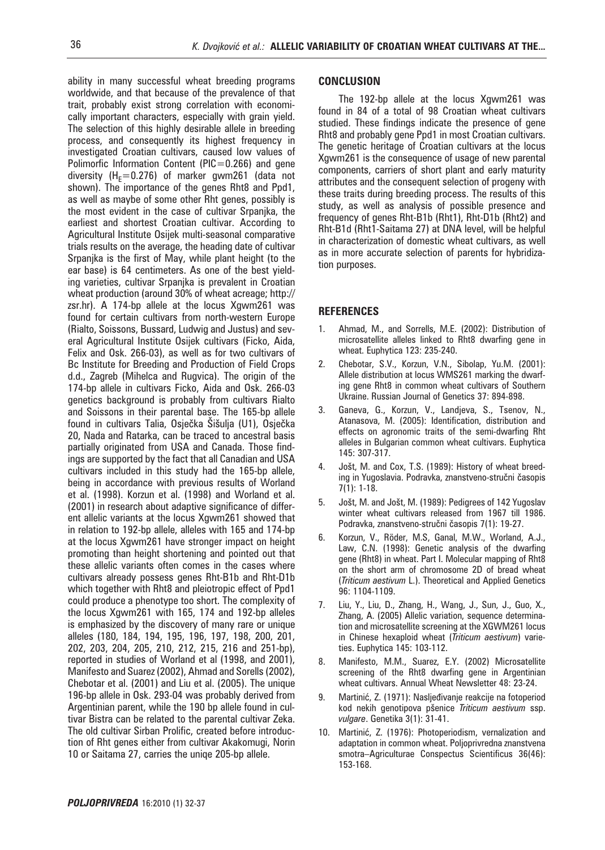ability in many successful wheat breeding programs worldwide, and that because of the prevalence of that trait, probably exist strong correlation with economically important characters, especially with grain yield. The selection of this highly desirable allele in breeding process, and consequently its highest frequency in investigated Croatian cultivars, caused low values of Polimorfic Information Content ( $PIC = 0.266$ ) and gene diversity (H<sub>F</sub>=0.276) of marker gwm261 (data not shown). The importance of the genes Rht8 and Ppd1, as well as maybe of some other Rht genes, possibly is the most evident in the case of cultivar Srpanjka, the earliest and shortest Croatian cultivar. According to Agricultural Institute Osijek multi-seasonal comparative trials results on the average, the heading date of cultivar Srpanjka is the first of May, while plant height (to the ear base) is 64 centimeters. As one of the best yielding varieties, cultivar Srpanjka is prevalent in Croatian wheat production (around 30% of wheat acreage; http:// zsr.hr). A 174-bp allele at the locus Xgwm261 was found for certain cultivars from north-western Europe (Rialto, Soissons, Bussard, Ludwig and Justus) and several Agricultural Institute Osijek cultivars (Ficko, Aida, Felix and Osk. 266-03), as well as for two cultivars of Bc Institute for Breeding and Production of Field Crops d.d., Zagreb (Mihelca and Rugvica). The origin of the 174-bp allele in cultivars Ficko, Aida and Osk. 266-03 genetics background is probably from cultivars Rialto and Soissons in their parental base. The 165-bp allele found in cultivars Talia, Osječka Šišulja (U1), Osječka 20, Nada and Ratarka, can be traced to ancestral basis partially originated from USA and Canada. Those findings are supported by the fact that all Canadian and USA cultivars included in this study had the 165-bp allele, being in accordance with previous results of Worland et al. (1998). Korzun et al. (1998) and Worland et al. (2001) in research about adaptive significance of different allelic variants at the locus Xgwm261 showed that in relation to 192-bp allele, alleles with 165 and 174-bp at the locus Xgwm261 have stronger impact on height promoting than height shortening and pointed out that these allelic variants often comes in the cases where cultivars already possess genes Rht-B1b and Rht-D1b which together with Rht8 and pleiotropic effect of Ppd1 could produce a phenotype too short. The complexity of the locus Xgwm261 with 165, 174 and 192-bp alleles is emphasized by the discovery of many rare or unique alleles (180, 184, 194, 195, 196, 197, 198, 200, 201, 202, 203, 204, 205, 210, 212, 215, 216 and 251-bp), reported in studies of Worland et al (1998, and 2001), Manifesto and Suarez (2002), Ahmad and Sorells (2002), Chebotar et al. (2001) and Liu et al. (2005). The unique 196-bp allele in Osk. 293-04 was probably derived from Argentinian parent, while the 190 bp allele found in cultivar Bistra can be related to the parental cultivar Zeka. The old cultivar Sirban Prolific, created before introduction of Rht genes either from cultivar Akakomugi, Norin 10 or Saitama 27, carries the uniqe 205-bp allele.

#### **CONCLUSION**

The 192-bp allele at the locus Xgwm261 was found in 84 of a total of 98 Croatian wheat cultivars studied. These findings indicate the presence of gene Rht8 and probably gene Ppd1 in most Croatian cultivars. The genetic heritage of Croatian cultivars at the locus Xgwm261 is the consequence of usage of new parental components, carriers of short plant and early maturity attributes and the consequent selection of progeny with these traits during breeding process. The results of this study, as well as analysis of possible presence and frequency of genes Rht-B1b (Rht1), Rht-D1b (Rht2) and Rht-B1d (Rht1-Saitama 27) at DNA level, will be helpful in characterization of domestic wheat cultivars, as well as in more accurate selection of parents for hybridization purposes.

#### **REFERENCES**

- 1. Ahmad, M., and Sorrells, M.E. (2002): Distribution of microsatellite alleles linked to Rht8 dwarfing gene in wheat. Euphytica 123: 235-240.
- 2. Chebotar, S.V., Korzun, V.N., Sibolap, Yu.M. (2001): Allele distribution at locus WMS261 marking the dwarfing gene Rht8 in common wheat cultivars of Southern Ukraine. Russian Journal of Genetics 37: 894-898.
- 3. Ganeva, G., Korzun, V., Landjeva, S., Tsenov, N., Atanasova, M. (2005): Identification, distribution and effects on agronomic traits of the semi-dwarfing Rht alleles in Bulgarian common wheat cultivars. Euphytica 145: 307-317.
- 4. Jošt, M. and Cox, T.S. (1989): History of wheat breeding in Yugoslavia. Podravka, znanstveno-stručni časopis 7(1): 1-18.
- 5. Jošt, M. and Jošt, M. (1989): Pedigrees of 142 Yugoslav winter wheat cultivars released from 1967 till 1986. Podravka, znanstveno-stručni časopis 7(1): 19-27.
- 6. Korzun, V., Röder, M.S, Ganal, M.W., Worland, A.J., Law, C.N. (1998): Genetic analysis of the dwarfing gene (Rht8) in wheat. Part I. Molecular mapping of Rht8 on the short arm of chromosome 2D of bread wheat (*Triticum aestivum* L.). Theoretical and Applied Genetics 96: 1104-1109.
- 7. Liu, Y., Liu, D., Zhang, H., Wang, J., Sun, J., Guo, X., Zhang, A. (2005) Allelic variation, sequence determination and microsatellite screening at the XGWM261 locus in Chinese hexaploid wheat (*Triticum aestivum*) varieties. Euphytica 145: 103-112.
- 8. Manifesto, M.M., Suarez, E.Y. (2002) Microsatellite screening of the Rht8 dwarfing gene in Argentinian wheat cultivars. Annual Wheat Newsletter 48: 23-24.
- 9. Martinić, Z. (1971): Nasljeđivanje reakcije na fotoperiod kod nekih genotipova pšenice *Triticum aestivum* ssp. *vulgare*. Genetika 3(1): 31-41.
- 10. Martinić, Z. (1976): Photoperiodism, vernalization and adaptation in common wheat. Poljoprivredna znanstvena smotra–Agriculturae Conspectus Scientificus 36(46): 153-168.